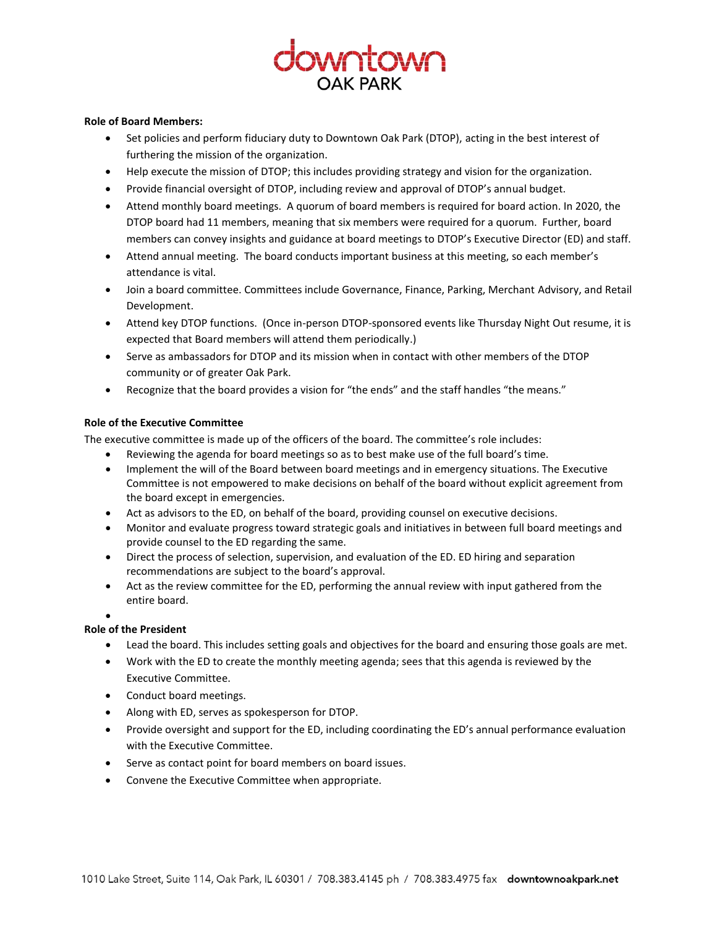# **WULLOWU**

## **Role of Board Members:**

- Set policies and perform fiduciary duty to Downtown Oak Park (DTOP), acting in the best interest of furthering the mission of the organization.
- Help execute the mission of DTOP; this includes providing strategy and vision for the organization.
- Provide financial oversight of DTOP, including review and approval of DTOP's annual budget.
- Attend monthly board meetings. A quorum of board members is required for board action. In 2020, the DTOP board had 11 members, meaning that six members were required for a quorum. Further, board members can convey insights and guidance at board meetings to DTOP's Executive Director (ED) and staff.
- Attend annual meeting. The board conducts important business at this meeting, so each member's attendance is vital.
- Join a board committee. Committees include Governance, Finance, Parking, Merchant Advisory, and Retail Development.
- Attend key DTOP functions. (Once in-person DTOP-sponsored events like Thursday Night Out resume, it is expected that Board members will attend them periodically.)
- Serve as ambassadors for DTOP and its mission when in contact with other members of the DTOP community or of greater Oak Park.
- Recognize that the board provides a vision for "the ends" and the staff handles "the means."

# **Role of the Executive Committee**

The executive committee is made up of the officers of the board. The committee's role includes:

- Reviewing the agenda for board meetings so as to best make use of the full board's time.
- Implement the will of the Board between board meetings and in emergency situations. The Executive Committee is not empowered to make decisions on behalf of the board without explicit agreement from the board except in emergencies.
- Act as advisors to the ED, on behalf of the board, providing counsel on executive decisions.
- Monitor and evaluate progress toward strategic goals and initiatives in between full board meetings and provide counsel to the ED regarding the same.
- Direct the process of selection, supervision, and evaluation of the ED. ED hiring and separation recommendations are subject to the board's approval.
- Act as the review committee for the ED, performing the annual review with input gathered from the entire board.

#### $\bullet$

# **Role of the President**

- Lead the board. This includes setting goals and objectives for the board and ensuring those goals are met.
- Work with the ED to create the monthly meeting agenda; sees that this agenda is reviewed by the Executive Committee.
- Conduct board meetings.
- Along with ED, serves as spokesperson for DTOP.
- Provide oversight and support for the ED, including coordinating the ED's annual performance evaluation with the Executive Committee.
- Serve as contact point for board members on board issues.
- Convene the Executive Committee when appropriate.